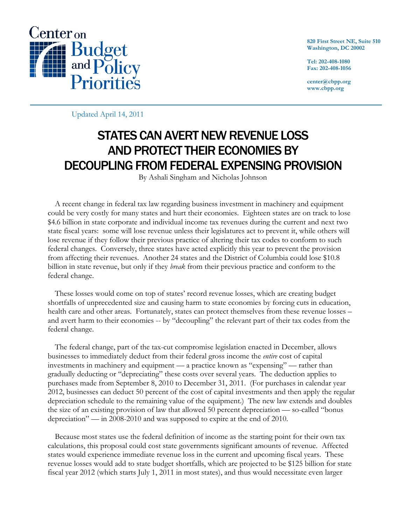

**820 First Street NE, Suite 510 Washington, DC 20002** 

**Tel: 202-408-1080 Fax: 202-408-1056** 

**center@cbpp.org www.cbpp.org** 

Updated April 14, 2011

# STATES CAN AVERT NEW REVENUE LOSS AND PROTECT THEIR ECONOMIES BY DECOUPLING FROM FEDERAL EXPENSING PROVISION

By Ashali Singham and Nicholas Johnson

A recent change in federal tax law regarding business investment in machinery and equipment could be very costly for many states and hurt their economies. Eighteen states are on track to lose \$4.6 billion in state corporate and individual income tax revenues during the current and next two state fiscal years: some will lose revenue unless their legislatures act to prevent it, while others will lose revenue if they follow their previous practice of altering their tax codes to conform to such federal changes. Conversely, three states have acted explicitly this year to prevent the provision from affecting their revenues. Another 24 states and the District of Columbia could lose \$10.8 billion in state revenue, but only if they *break* from their previous practice and conform to the federal change.

These losses would come on top of states' record revenue losses, which are creating budget shortfalls of unprecedented size and causing harm to state economies by forcing cuts in education, health care and other areas. Fortunately, states can protect themselves from these revenue losses – and avert harm to their economies -- by "decoupling" the relevant part of their tax codes from the federal change.

The federal change, part of the tax-cut compromise legislation enacted in December, allows businesses to immediately deduct from their federal gross income the *entire* cost of capital investments in machinery and equipment — a practice known as "expensing" — rather than gradually deducting or "depreciating" these costs over several years. The deduction applies to purchases made from September 8, 2010 to December 31, 2011. (For purchases in calendar year 2012, businesses can deduct 50 percent of the cost of capital investments and then apply the regular depreciation schedule to the remaining value of the equipment.) The new law extends and doubles the size of an existing provision of law that allowed 50 percent depreciation — so-called "bonus depreciation" — in 2008-2010 and was supposed to expire at the end of 2010.

 Because most states use the federal definition of income as the starting point for their own tax calculations, this proposal could cost state governments significant amounts of revenue. Affected states would experience immediate revenue loss in the current and upcoming fiscal years. These revenue losses would add to state budget shortfalls, which are projected to be \$125 billion for state fiscal year 2012 (which starts July 1, 2011 in most states), and thus would necessitate even larger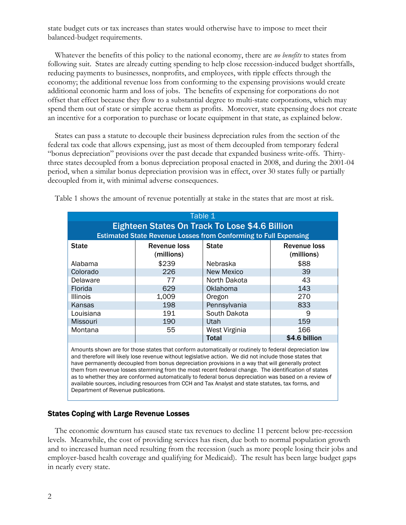state budget cuts or tax increases than states would otherwise have to impose to meet their balanced-budget requirements.

 Whatever the benefits of this policy to the national economy, there are *no benefits* to states from following suit. States are already cutting spending to help close recession-induced budget shortfalls, reducing payments to businesses, nonprofits, and employees, with ripple effects through the economy; the additional revenue loss from conforming to the expensing provisions would create additional economic harm and loss of jobs. The benefits of expensing for corporations do not offset that effect because they flow to a substantial degree to multi-state corporations, which may spend them out of state or simple accrue them as profits. Moreover, state expensing does not create an incentive for a corporation to purchase or locate equipment in that state, as explained below.

States can pass a statute to decouple their business depreciation rules from the section of the federal tax code that allows expensing, just as most of them decoupled from temporary federal "bonus depreciation" provisions over the past decade that expanded business write-offs. Thirtythree states decoupled from a bonus depreciation proposal enacted in 2008, and during the 2001-04 period, when a similar bonus depreciation provision was in effect, over 30 states fully or partially decoupled from it, with minimal adverse consequences.

| Table 1<br>Eighteen States On Track To Lose \$4.6 Billion<br><b>Estimated State Revenue Losses from Conforming to Full Expensing</b> |                            |                   |                                   |
|--------------------------------------------------------------------------------------------------------------------------------------|----------------------------|-------------------|-----------------------------------|
| <b>State</b>                                                                                                                         | Revenue loss<br>(millions) | <b>State</b>      | <b>Revenue loss</b><br>(millions) |
| Alabama                                                                                                                              | \$239                      | <b>Nebraska</b>   | \$88                              |
| Colorado                                                                                                                             | 226                        | <b>New Mexico</b> | 39                                |
| Delaware                                                                                                                             | 77                         | North Dakota      | 43                                |
| Florida                                                                                                                              | 629                        | Oklahoma          | 143                               |
| <b>Illinois</b>                                                                                                                      | 1,009                      | Oregon            | 270                               |
| Kansas                                                                                                                               | 198                        | Pennsylvania      | 833                               |
| Louisiana                                                                                                                            | 191                        | South Dakota      | 9                                 |
| <b>Missouri</b>                                                                                                                      | 190                        | Utah              | 159                               |
| Montana                                                                                                                              | 55                         | West Virginia     | 166                               |
|                                                                                                                                      |                            | <b>Total</b>      | \$4.6 billion                     |

Table 1 shows the amount of revenue potentially at stake in the states that are most at risk.

Amounts shown are for those states that conform automatically or routinely to federal depreciation law and therefore will likely lose revenue without legislative action. We did not include those states that have permanently decoupled from bonus depreciation provisions in a way that will generally protect them from revenue losses stemming from the most recent federal change. The identification of states as to whether they are conformed automatically to federal bonus depreciation was based on a review of available sources, including resources from CCH and Tax Analyst and state statutes, tax forms, and Department of Revenue publications.

# States Coping with Large Revenue Losses

The economic downturn has caused state tax revenues to decline 11 percent below pre-recession levels. Meanwhile, the cost of providing services has risen, due both to normal population growth and to increased human need resulting from the recession (such as more people losing their jobs and employer-based health coverage and qualifying for Medicaid). The result has been large budget gaps in nearly every state.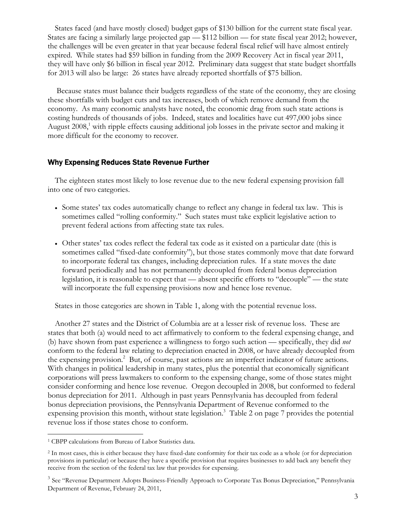States faced (and have mostly closed) budget gaps of \$130 billion for the current state fiscal year. States are facing a similarly large projected gap — \$112 billion — for state fiscal year 2012; however, the challenges will be even greater in that year because federal fiscal relief will have almost entirely expired. While states had \$59 billion in funding from the 2009 Recovery Act in fiscal year 2011, they will have only \$6 billion in fiscal year 2012. Preliminary data suggest that state budget shortfalls for 2013 will also be large: 26 states have already reported shortfalls of \$75 billion.

 Because states must balance their budgets regardless of the state of the economy, they are closing these shortfalls with budget cuts and tax increases, both of which remove demand from the economy. As many economic analysts have noted, the economic drag from such state actions is costing hundreds of thousands of jobs. Indeed, states and localities have cut 497,000 jobs since August 2008,<sup>1</sup> with ripple effects causing additional job losses in the private sector and making it more difficult for the economy to recover.

### Why Expensing Reduces State Revenue Further

 The eighteen states most likely to lose revenue due to the new federal expensing provision fall into one of two categories.

- Some states' tax codes automatically change to reflect any change in federal tax law. This is sometimes called "rolling conformity." Such states must take explicit legislative action to prevent federal actions from affecting state tax rules.
- Other states' tax codes reflect the federal tax code as it existed on a particular date (this is sometimes called "fixed-date conformity"), but those states commonly move that date forward to incorporate federal tax changes, including depreciation rules. If a state moves the date forward periodically and has not permanently decoupled from federal bonus depreciation legislation, it is reasonable to expect that — absent specific efforts to "decouple" — the state will incorporate the full expensing provisions now and hence lose revenue.

States in those categories are shown in Table 1, along with the potential revenue loss.

Another 27 states and the District of Columbia are at a lesser risk of revenue loss. These are states that both (a) would need to act affirmatively to conform to the federal expensing change, and (b) have shown from past experience a willingness to forgo such action — specifically, they did *not* conform to the federal law relating to depreciation enacted in 2008, or have already decoupled from the expensing provision.<sup>2</sup> But, of course, past actions are an imperfect indicator of future actions. With changes in political leadership in many states, plus the potential that economically significant corporations will press lawmakers to conform to the expensing change, some of those states might consider conforming and hence lose revenue. Oregon decoupled in 2008, but conformed to federal bonus depreciation for 2011. Although in past years Pennsylvania has decoupled from federal bonus depreciation provisions, the Pennsylvania Department of Revenue conformed to the expensing provision this month, without state legislation.<sup>3</sup> Table 2 on page 7 provides the potential revenue loss if those states chose to conform.

 $\overline{a}$ 

<sup>1</sup> CBPP calculations from Bureau of Labor Statistics data.

<sup>2</sup> In most cases, this is either because they have fixed-date conformity for their tax code as a whole (or for depreciation provisions in particular) or because they have a specific provision that requires businesses to add back any benefit they receive from the section of the federal tax law that provides for expensing.

<sup>&</sup>lt;sup>3</sup> See "Revenue Department Adopts Business-Friendly Approach to Corporate Tax Bonus Depreciation," Pennsylvania Department of Revenue, February 24, 2011,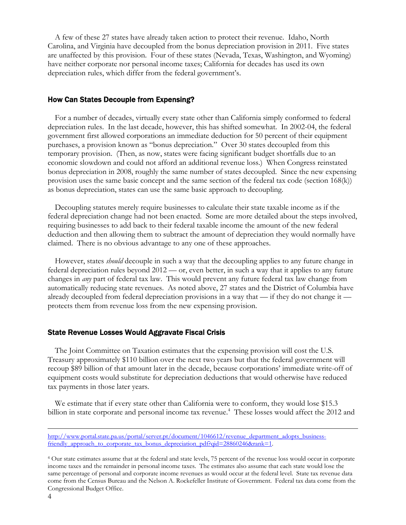A few of these 27 states have already taken action to protect their revenue. Idaho, North Carolina, and Virginia have decoupled from the bonus depreciation provision in 2011. Five states are unaffected by this provision. Four of these states (Nevada, Texas, Washington, and Wyoming) have neither corporate nor personal income taxes; California for decades has used its own depreciation rules, which differ from the federal government's.

#### How Can States Decouple from Expensing?

For a number of decades, virtually every state other than California simply conformed to federal depreciation rules. In the last decade, however, this has shifted somewhat. In 2002-04, the federal government first allowed corporations an immediate deduction for 50 percent of their equipment purchases, a provision known as "bonus depreciation." Over 30 states decoupled from this temporary provision. (Then, as now, states were facing significant budget shortfalls due to an economic slowdown and could not afford an additional revenue loss.) When Congress reinstated bonus depreciation in 2008, roughly the same number of states decoupled. Since the new expensing provision uses the same basic concept and the same section of the federal tax code (section 168(k)) as bonus depreciation, states can use the same basic approach to decoupling.

Decoupling statutes merely require businesses to calculate their state taxable income as if the federal depreciation change had not been enacted. Some are more detailed about the steps involved, requiring businesses to add back to their federal taxable income the amount of the new federal deduction and then allowing them to subtract the amount of depreciation they would normally have claimed. There is no obvious advantage to any one of these approaches.

However, states *should* decouple in such a way that the decoupling applies to any future change in federal depreciation rules beyond 2012 — or, even better, in such a way that it applies to any future changes in *any* part of federal tax law. This would prevent any future federal tax law change from automatically reducing state revenues. As noted above, 27 states and the District of Columbia have already decoupled from federal depreciation provisions in a way that — if they do not change it protects them from revenue loss from the new expensing provision.

#### State Revenue Losses Would Aggravate Fiscal Crisis

The Joint Committee on Taxation estimates that the expensing provision will cost the U.S. Treasury approximately \$110 billion over the next two years but that the federal government will recoup \$89 billion of that amount later in the decade, because corporations' immediate write-off of equipment costs would substitute for depreciation deductions that would otherwise have reduced tax payments in those later years.

We estimate that if every state other than California were to conform, they would lose \$15.3 billion in state corporate and personal income tax revenue.<sup>4</sup> These losses would affect the 2012 and

http://www.portal.state.pa.us/portal/server.pt/document/1046612/revenue\_department\_adopts\_businessfriendly approach to corporate tax bonus depreciation pdf?qid=28860246&rank=1.

<sup>4</sup> Our state estimates assume that at the federal and state levels, 75 percent of the revenue loss would occur in corporate income taxes and the remainder in personal income taxes. The estimates also assume that each state would lose the same percentage of personal and corporate income revenues as would occur at the federal level. State tax revenue data come from the Census Bureau and the Nelson A. Rockefeller Institute of Government. Federal tax data come from the Congressional Budget Office.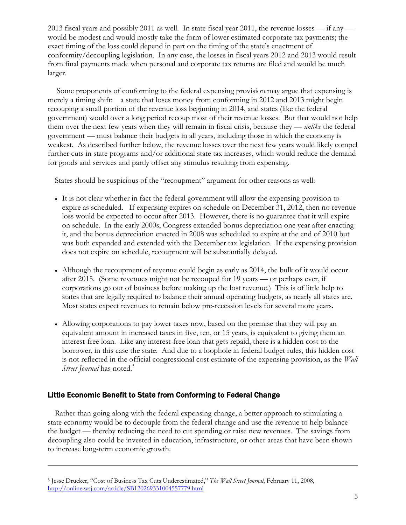2013 fiscal years and possibly 2011 as well. In state fiscal year 2011, the revenue losses — if any would be modest and would mostly take the form of lower estimated corporate tax payments; the exact timing of the loss could depend in part on the timing of the state's enactment of conformity/decoupling legislation. In any case, the losses in fiscal years 2012 and 2013 would result from final payments made when personal and corporate tax returns are filed and would be much larger.

 Some proponents of conforming to the federal expensing provision may argue that expensing is merely a timing shift: a state that loses money from conforming in 2012 and 2013 might begin recouping a small portion of the revenue loss beginning in 2014, and states (like the federal government) would over a long period recoup most of their revenue losses. But that would not help them over the next few years when they will remain in fiscal crisis, because they — *unlike* the federal government — must balance their budgets in all years, including those in which the economy is weakest. As described further below, the revenue losses over the next few years would likely compel further cuts in state programs and/or additional state tax increases, which would reduce the demand for goods and services and partly offset any stimulus resulting from expensing.

States should be suspicious of the "recoupment" argument for other reasons as well:

- It is not clear whether in fact the federal government will allow the expensing provision to expire as scheduled. If expensing expires on schedule on December 31, 2012, then no revenue loss would be expected to occur after 2013. However, there is no guarantee that it will expire on schedule. In the early 2000s, Congress extended bonus depreciation one year after enacting it, and the bonus depreciation enacted in 2008 was scheduled to expire at the end of 2010 but was both expanded and extended with the December tax legislation. If the expensing provision does not expire on schedule, recoupment will be substantially delayed.
- Although the recoupment of revenue could begin as early as 2014, the bulk of it would occur after 2015. (Some revenues might not be recouped for 19 years — or perhaps ever, if corporations go out of business before making up the lost revenue.) This is of little help to states that are legally required to balance their annual operating budgets, as nearly all states are. Most states expect revenues to remain below pre-recession levels for several more years.
- Allowing corporations to pay lower taxes now, based on the premise that they will pay an equivalent amount in increased taxes in five, ten, or 15 years, is equivalent to giving them an interest-free loan. Like any interest-free loan that gets repaid, there is a hidden cost to the borrower, in this case the state. And due to a loophole in federal budget rules, this hidden cost is not reflected in the official congressional cost estimate of the expensing provision, as the *Wall Street Journal* has noted.<sup>5</sup>

# Little Economic Benefit to State from Conforming to Federal Change

 $\overline{a}$ 

Rather than going along with the federal expensing change, a better approach to stimulating a state economy would be to decouple from the federal change and use the revenue to help balance the budget — thereby reducing the need to cut spending or raise new revenues. The savings from decoupling also could be invested in education, infrastructure, or other areas that have been shown to increase long-term economic growth.

<sup>5</sup> Jesse Drucker, "Cost of Business Tax Cuts Underestimated," *The Wall Street Journal*, February 11, 2008, http://online.wsj.com/article/SB120269331004557779.html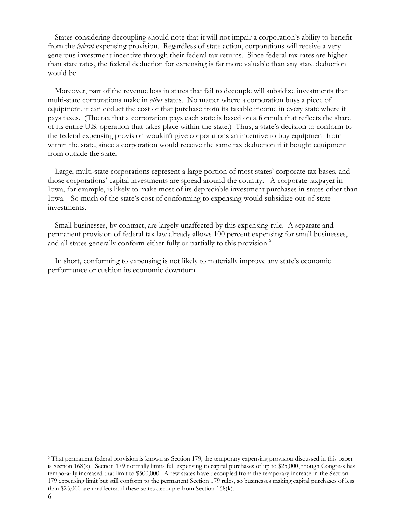States considering decoupling should note that it will not impair a corporation's ability to benefit from the *federal* expensing provision. Regardless of state action, corporations will receive a very generous investment incentive through their federal tax returns. Since federal tax rates are higher than state rates, the federal deduction for expensing is far more valuable than any state deduction would be.

 Moreover, part of the revenue loss in states that fail to decouple will subsidize investments that multi-state corporations make in *other* states. No matter where a corporation buys a piece of equipment, it can deduct the cost of that purchase from its taxable income in every state where it pays taxes. (The tax that a corporation pays each state is based on a formula that reflects the share of its entire U.S. operation that takes place within the state.) Thus, a state's decision to conform to the federal expensing provision wouldn't give corporations an incentive to buy equipment from within the state, since a corporation would receive the same tax deduction if it bought equipment from outside the state.

 Large, multi-state corporations represent a large portion of most states' corporate tax bases, and those corporations' capital investments are spread around the country. A corporate taxpayer in Iowa, for example, is likely to make most of its depreciable investment purchases in states other than Iowa. So much of the state's cost of conforming to expensing would subsidize out-of-state investments.

 Small businesses, by contract, are largely unaffected by this expensing rule. A separate and permanent provision of federal tax law already allows 100 percent expensing for small businesses, and all states generally conform either fully or partially to this provision.<sup>6</sup>

 In short, conforming to expensing is not likely to materially improve any state's economic performance or cushion its economic downturn.

 $\overline{a}$ 

<sup>6</sup> That permanent federal provision is known as Section 179; the temporary expensing provision discussed in this paper is Section 168(k). Section 179 normally limits full expensing to capital purchases of up to \$25,000, though Congress has temporarily increased that limit to \$500,000. A few states have decoupled from the temporary increase in the Section 179 expensing limit but still conform to the permanent Section 179 rules, so businesses making capital purchases of less than \$25,000 are unaffected if these states decouple from Section 168(k).